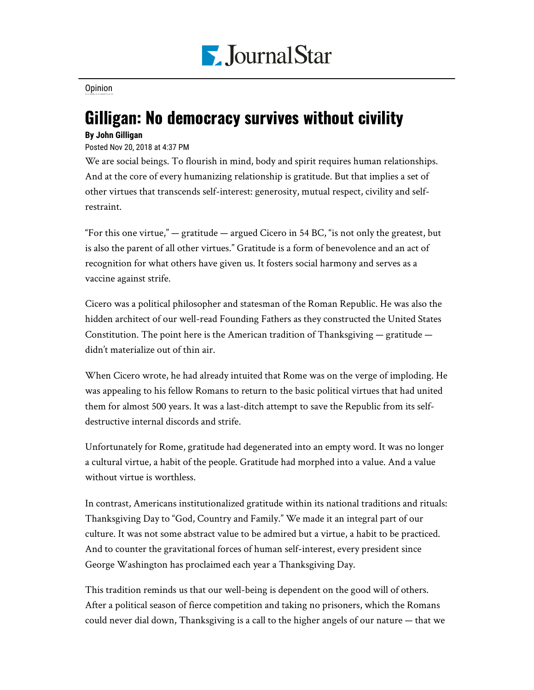

## [Opinion](https://www.pjstar.com/search?text=Opinion)

## Gilligan: No democracy survives without civility

## **By John Gilligan**

## Posted Nov 20, 2018 at 4:37 PM

We are social beings. To flourish in mind, body and spirit requires human relationships. And at the core of every humanizing relationship is gratitude. But that implies a set of other virtues that transcends self-interest: generosity, mutual respect, civility and selfrestraint.

"For this one virtue," — gratitude — argued Cicero in 54 BC, "is not only the greatest, but is also the parent of all other virtues." Gratitude is a form of benevolence and an act of recognition for what others have given us. It fosters social harmony and serves as a vaccine against strife.

Cicero was a political philosopher and statesman of the Roman Republic. He was also the hidden architect of our well-read Founding Fathers as they constructed the United States Constitution. The point here is the American tradition of Thanksgiving  $-$  gratitude  $$ didn't materialize out of thin air.

When Cicero wrote, he had already intuited that Rome was on the verge of imploding. He was appealing to his fellow Romans to return to the basic political virtues that had united them for almost 500 years. It was a last-ditch attempt to save the Republic from its selfdestructive internal discords and strife.

Unfortunately for Rome, gratitude had degenerated into an empty word. It was no longer a cultural virtue, a habit of the people. Gratitude had morphed into a value. And a value without virtue is worthless.

In contrast, Americans institutionalized gratitude within its national traditions and rituals: Thanksgiving Day to "God, Country and Family." We made it an integral part of our culture. It was not some abstract value to be admired but a virtue, a habit to be practiced. And to counter the gravitational forces of human self-interest, every president since George Washington has proclaimed each year a Thanksgiving Day.

This tradition reminds us that our well-being is dependent on the good will of others. After a political season of fierce competition and taking no prisoners, which the Romans could never dial down, Thanksgiving is a call to the higher angels of our nature — that we